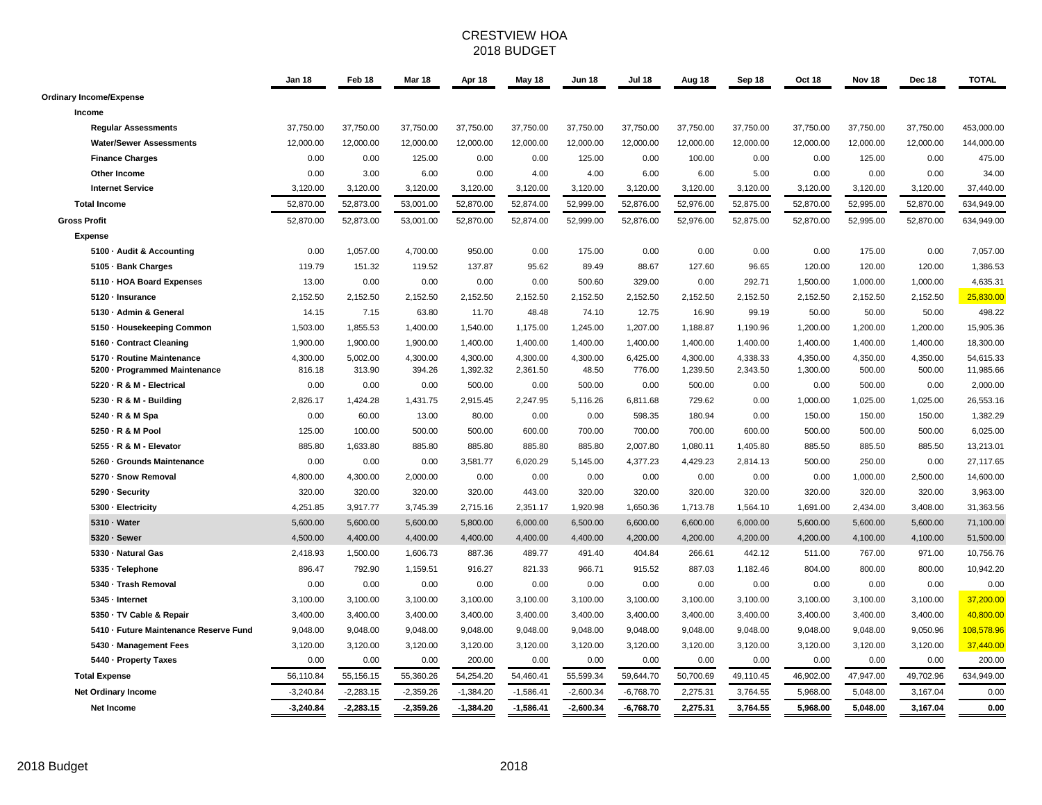#### CRESTVIEW HOA 2018 BUDGET

|                                                   | Jan 18             | Feb 18             | Mar 18             | Apr 18         | May 18         | <b>Jun 18</b>  | <b>Jul 18</b>  | Aug 18         | Sep 18         | Oct 18         | Nov <sub>18</sub>  | Dec 18             | <b>TOTAL</b>          |
|---------------------------------------------------|--------------------|--------------------|--------------------|----------------|----------------|----------------|----------------|----------------|----------------|----------------|--------------------|--------------------|-----------------------|
| <b>Ordinary Income/Expense</b>                    |                    |                    |                    |                |                |                |                |                |                |                |                    |                    |                       |
| Income                                            |                    |                    |                    |                |                |                |                |                |                |                |                    |                    |                       |
| <b>Regular Assessments</b>                        | 37,750.00          | 37,750.00          | 37,750.00          | 37,750.00      | 37,750.00      | 37,750.00      | 37,750.00      | 37,750.00      | 37,750.00      | 37,750.00      | 37,750.00          | 37,750.00          | 453,000.00            |
| <b>Water/Sewer Assessments</b>                    | 12,000.00          | 12,000.00          | 12,000.00          | 12,000.00      | 12,000.00      | 12,000.00      | 12,000.00      | 12,000.00      | 12,000.00      | 12,000.00      | 12,000.00          | 12,000.00          | 144,000.00            |
| <b>Finance Charges</b>                            | 0.00               | 0.00               | 125.00             | 0.00           | 0.00           | 125.00         | 0.00           | 100.00         | 0.00           | 0.00           | 125.00             | 0.00               | 475.00                |
| Other Income                                      | 0.00               | 3.00               | 6.00               | 0.00           | 4.00           | 4.00           | 6.00           | 6.00           | 5.00           | 0.00           | 0.00               | 0.00               | 34.00                 |
| <b>Internet Service</b>                           | 3.120.00           | 3,120.00           | 3,120.00           | 3,120.00       | 3,120.00       | 3,120.00       | 3,120.00       | 3,120.00       | 3,120.00       | 3,120.00       | 3,120.00           | 3,120.00           | 37,440.00             |
| <b>Total Income</b>                               | 52,870.00          | 52,873.00          | 53,001.00          | 52,870.00      | 52,874.00      | 52,999.00      | 52,876.00      | 52,976.00      | 52,875.00      | 52,870.00      | 52,995.00          | 52,870.00          | 634,949.00            |
| <b>Gross Profit</b>                               | 52,870.00          | 52,873.00          | 53,001.00          | 52,870.00      | 52,874.00      | 52,999.00      | 52,876.00      | 52,976.00      | 52,875.00      | 52,870.00      | 52,995.00          | 52,870.00          | 634,949.00            |
| <b>Expense</b>                                    |                    |                    |                    |                |                |                |                |                |                |                |                    |                    |                       |
| 5100 - Audit & Accounting                         | 0.00               | 1,057.00           | 4,700.00           | 950.00         | 0.00           | 175.00         | 0.00           | 0.00           | 0.00           | 0.00           | 175.00             | 0.00               | 7,057.00              |
| 5105 · Bank Charges                               | 119.79             | 151.32             | 119.52             | 137.87         | 95.62          | 89.49          | 88.67          | 127.60         | 96.65          | 120.00         | 120.00             | 120.00             | 1,386.53              |
| 5110 - HOA Board Expenses                         | 13.00              | 0.00               | 0.00               | 0.00           | 0.00           | 500.60         | 329.00         | 0.00           | 292.71         | 1,500.00       | 1,000.00           | 1,000.00           | 4,635.31              |
| 5120 - Insurance                                  | 2,152.50           | 2,152.50           | 2,152.50           | 2,152.50       | 2,152.50       | 2,152.50       | 2,152.50       | 2,152.50       | 2,152.50       | 2,152.50       | 2,152.50           | 2,152.50           | 25,830.00             |
| 5130 - Admin & General                            | 14.15              | 7.15               | 63.80              | 11.70          | 48.48          | 74.10          | 12.75          | 16.90          | 99.19          | 50.00          | 50.00              | 50.00              | 498.22                |
| 5150 - Housekeeping Common                        | 1,503.00           | 1,855.53           | 1,400.00           | 1,540.00       | 1,175.00       | 1,245.00       | 1,207.00       | 1,188.87       | 1,190.96       | 1,200.00       | 1,200.00           | 1,200.00           | 15,905.36             |
| 5160 - Contract Cleaning                          | 1,900.00           | 1,900.00           | 1,900.00           | 1,400.00       | 1,400.00       | 1,400.00       | 1,400.00       | 1,400.00       | 1,400.00       | 1,400.00       | 1,400.00           | 1,400.00           | 18,300.00             |
| 5170 - Routine Maintenance                        | 4,300.00           | 5,002.00           | 4,300.00           | 4,300.00       | 4,300.00       | 4,300.00       | 6,425.00       | 4,300.00       | 4,338.33       | 4,350.00       | 4,350.00           | 4,350.00           | 54,615.33             |
| 5200 · Programmed Maintenance                     | 816.18             | 313.90             | 394.26             | 1,392.32       | 2,361.50       | 48.50          | 776.00         | 1,239.50       | 2,343.50       | 1,300.00       | 500.00             | 500.00             | 11,985.66             |
| 5220 · R & M - Electrical                         | 0.00               | 0.00               | 0.00               | 500.00         | 0.00           | 500.00         | 0.00           | 500.00         | 0.00           | 0.00           | 500.00             | 0.00               | 2,000.00              |
| 5230 - R & M - Building                           | 2,826.17           | 1,424.28           | 1,431.75           | 2,915.45       | 2,247.95       | 5,116.26       | 6,811.68       | 729.62         | 0.00           | 1,000.00       | 1,025.00           | 1,025.00           | 26,553.16             |
| 5240 · R & M Spa                                  | 0.00               | 60.00              | 13.00              | 80.00          | 0.00           | 0.00           | 598.35         | 180.94         | 0.00           | 150.00         | 150.00             | 150.00             | 1,382.29              |
| 5250 - R & M Pool                                 | 125.00             | 100.00             | 500.00             | 500.00         | 600.00         | 700.00         | 700.00         | 700.00         | 600.00         | 500.00         | 500.00             | 500.00             | 6,025.00              |
| 5255 - R & M - Elevator                           | 885.80             | 1,633.80           | 885.80             | 885.80         | 885.80         | 885.80         | 2,007.80       | 1,080.11       | 1,405.80       | 885.50         | 885.50             | 885.50             | 13,213.01             |
| 5260 - Grounds Maintenance<br>5270 - Snow Removal | 0.00               | 0.00               | 0.00               | 3,581.77       | 6,020.29       | 5,145.00       | 4,377.23       | 4,429.23       | 2,814.13       | 500.00         | 250.00             | 0.00               | 27,117.65             |
| 5290 · Security                                   | 4,800.00<br>320.00 | 4,300.00<br>320.00 | 2,000.00<br>320.00 | 0.00<br>320.00 | 0.00<br>443.00 | 0.00<br>320.00 | 0.00<br>320.00 | 0.00<br>320.00 | 0.00<br>320.00 | 0.00<br>320.00 | 1,000.00<br>320.00 | 2,500.00<br>320.00 | 14,600.00<br>3,963.00 |
| 5300 - Electricity                                | 4,251.85           | 3,917.77           | 3,745.39           | 2,715.16       | 2,351.17       | 1,920.98       | 1,650.36       | 1,713.78       | 1,564.10       | 1,691.00       | 2,434.00           | 3,408.00           | 31,363.56             |
| 5310 - Water                                      | 5,600.00           | 5,600.00           | 5,600.00           | 5,800.00       | 6,000.00       | 6,500.00       | 6,600.00       | 6,600.00       | 6,000.00       | 5,600.00       | 5,600.00           | 5,600.00           | 71,100.00             |
| 5320 · Sewer                                      | 4,500.00           | 4,400.00           | 4,400.00           | 4,400.00       | 4,400.00       | 4,400.00       | 4,200.00       | 4,200.00       | 4,200.00       | 4,200.00       | 4,100.00           | 4,100.00           | 51,500.00             |
| 5330 - Natural Gas                                | 2,418.93           | 1,500.00           | 1,606.73           | 887.36         | 489.77         | 491.40         | 404.84         | 266.61         | 442.12         | 511.00         | 767.00             | 971.00             | 10,756.76             |
| 5335 · Telephone                                  | 896.47             | 792.90             | 1,159.51           | 916.27         | 821.33         | 966.71         | 915.52         | 887.03         | 1,182.46       | 804.00         | 800.00             | 800.00             | 10,942.20             |
| 5340 - Trash Removal                              | 0.00               | 0.00               | 0.00               | 0.00           | 0.00           | 0.00           | 0.00           | 0.00           | 0.00           | 0.00           | 0.00               | 0.00               | 0.00                  |
| 5345 - Internet                                   | 3,100.00           | 3,100.00           | 3,100.00           | 3,100.00       | 3,100.00       | 3,100.00       | 3,100.00       | 3,100.00       | 3,100.00       | 3,100.00       | 3,100.00           | 3,100.00           | 37,200.00             |
| 5350 · TV Cable & Repair                          | 3,400.00           | 3,400.00           | 3,400.00           | 3,400.00       | 3,400.00       | 3,400.00       | 3,400.00       | 3,400.00       | 3,400.00       | 3,400.00       | 3,400.00           | 3,400.00           | 40,800.00             |
| 5410 - Future Maintenance Reserve Fund            | 9,048.00           | 9,048.00           | 9,048.00           | 9,048.00       | 9,048.00       | 9,048.00       | 9,048.00       | 9,048.00       | 9,048.00       | 9,048.00       | 9,048.00           | 9,050.96           | 108,578.96            |
| 5430 - Management Fees                            | 3,120.00           | 3,120.00           | 3,120.00           | 3,120.00       | 3,120.00       | 3,120.00       | 3,120.00       | 3,120.00       | 3,120.00       | 3,120.00       | 3,120.00           | 3,120.00           | 37,440.00             |
| 5440 - Property Taxes                             | 0.00               | 0.00               | 0.00               | 200.00         | 0.00           | 0.00           | 0.00           | 0.00           | 0.00           | 0.00           | 0.00               | 0.00               | 200.00                |
| <b>Total Expense</b>                              | 56,110.84          | 55,156.15          | 55,360.26          | 54,254.20      | 54,460.41      | 55,599.34      | 59,644.70      | 50,700.69      | 49,110.45      | 46,902.00      | 47,947.00          | 49,702.96          | 634,949.00            |
| <b>Net Ordinary Income</b>                        | $-3,240.84$        | $-2,283.15$        | $-2,359.26$        | $-1,384.20$    | $-1,586.41$    | $-2,600.34$    | $-6,768.70$    | 2,275.31       | 3,764.55       | 5,968.00       | 5,048.00           | 3,167.04           | 0.00                  |
| Net Income                                        | $-3,240.84$        | $-2,283.15$        | $-2,359.26$        | $-1,384.20$    | $-1,586.41$    | $-2,600.34$    | $-6,768.70$    | 2,275.31       | 3,764.55       | 5,968.00       | 5,048.00           | 3,167.04           | 0.00                  |
|                                                   |                    |                    |                    |                |                |                |                |                |                |                |                    |                    |                       |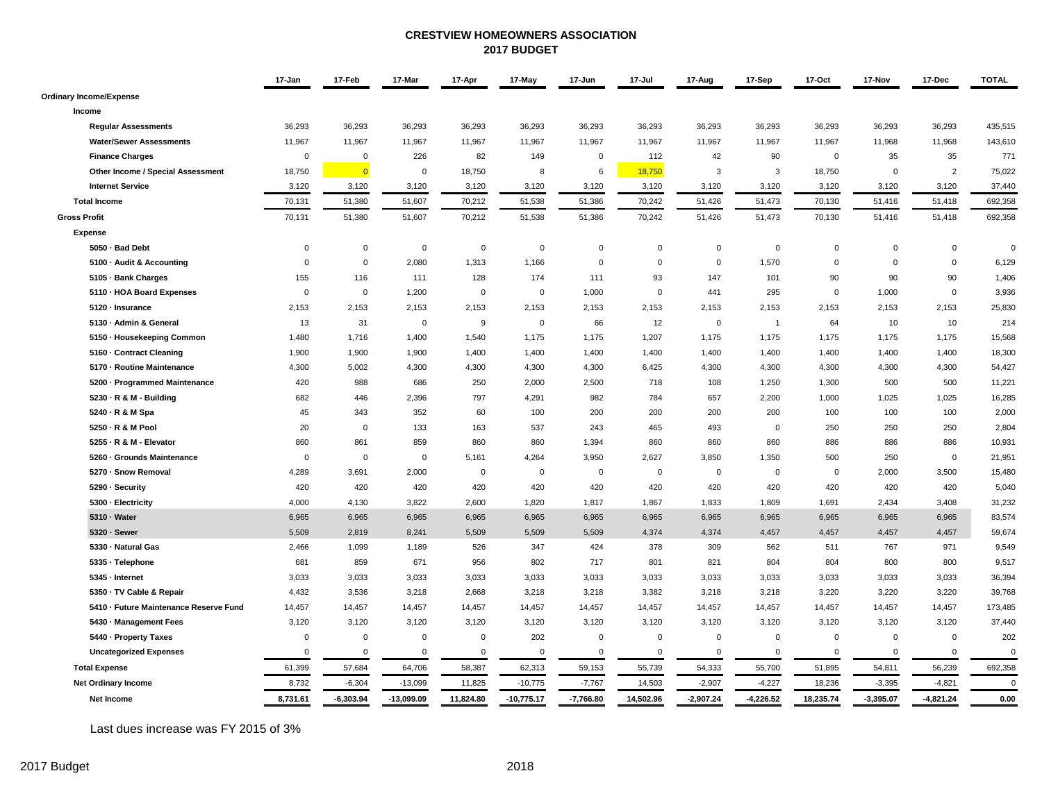#### **CRESTVIEW HOMEOWNERS ASSOCIATION 2017 BUDGET**

|                                        | 17-Jan         | 17-Feb         | 17-Mar       | 17-Apr      | 17-May       | 17-Jun         | 17-Jul      | 17-Aug         | 17-Sep         | 17-Oct      | 17-Nov      | 17-Dec         | <b>TOTAL</b> |
|----------------------------------------|----------------|----------------|--------------|-------------|--------------|----------------|-------------|----------------|----------------|-------------|-------------|----------------|--------------|
| <b>Ordinary Income/Expense</b>         |                |                |              |             |              |                |             |                |                |             |             |                |              |
| Income                                 |                |                |              |             |              |                |             |                |                |             |             |                |              |
| <b>Regular Assessments</b>             | 36,293         | 36,293         | 36,293       | 36,293      | 36,293       | 36,293         | 36,293      | 36,293         | 36,293         | 36,293      | 36,293      | 36,293         | 435,515      |
| <b>Water/Sewer Assessments</b>         | 11,967         | 11,967         | 11,967       | 11,967      | 11,967       | 11,967         | 11,967      | 11,967         | 11,967         | 11,967      | 11,968      | 11,968         | 143,610      |
| <b>Finance Charges</b>                 | $\mathbf 0$    | $\Omega$       | 226          | 82          | 149          | $\mathsf 0$    | 112         | 42             | 90             | $\mathbf 0$ | 35          | 35             | 771          |
| Other Income / Special Assessment      | 18,750         | $\overline{0}$ | $\mathbf 0$  | 18,750      | 8            | 6              | 18,750      | 3              | 3              | 18,750      | $\mathbf 0$ | $\overline{2}$ | 75,022       |
| <b>Internet Service</b>                | 3,120          | 3,120          | 3,120        | 3,120       | 3,120        | 3,120          | 3,120       | 3,120          | 3,120          | 3,120       | 3,120       | 3,120          | 37,440       |
| <b>Total Income</b>                    | 70,131         | 51,380         | 51,607       | 70,212      | 51,538       | 51,386         | 70,242      | 51,426         | 51,473         | 70,130      | 51,416      | 51,418         | 692,358      |
| <b>Gross Profit</b>                    | 70,131         | 51,380         | 51,607       | 70,212      | 51,538       | 51,386         | 70,242      | 51,426         | 51,473         | 70,130      | 51,416      | 51,418         | 692,358      |
| <b>Expense</b>                         |                |                |              |             |              |                |             |                |                |             |             |                |              |
| 5050 · Bad Debt                        | $\mathsf 0$    | $\mathbf 0$    | $\mathsf 0$  | $\mathbf 0$ | $\mathbf 0$  | $\mathsf 0$    | $\mathbf 0$ | $\overline{0}$ | $\mathsf 0$    | $\mathbf 0$ | $\mathbf 0$ | $\mathbf 0$    | $\Omega$     |
| 5100 - Audit & Accounting              | $\mathbf 0$    | $\mathbf 0$    | 2,080        | 1,313       | 1,166        | $\mathbf 0$    | $\mathsf 0$ | $\mathbf 0$    | 1,570          | $\mathbf 0$ | $\mathbf 0$ | $\mathbf 0$    | 6,129        |
| 5105 · Bank Charges                    | 155            | 116            | 111          | 128         | 174          | 111            | 93          | 147            | 101            | 90          | 90          | 90             | 1,406        |
| 5110 - HOA Board Expenses              | $\mathbf 0$    | $\mathsf 0$    | 1,200        | $\mathbf 0$ | $\mathbf 0$  | 1,000          | $\mathsf 0$ | 441            | 295            | $\mathsf 0$ | 1,000       | $\mathbf 0$    | 3,936        |
| 5120 · Insurance                       | 2,153          | 2,153          | 2,153        | 2,153       | 2,153        | 2,153          | 2,153       | 2,153          | 2,153          | 2,153       | 2,153       | 2,153          | 25,830       |
| 5130 · Admin & General                 | 13             | 31             | $\mathbf 0$  | 9           | $\mathsf 0$  | 66             | 12          | $\mathbf 0$    | $\overline{1}$ | 64          | 10          | 10             | 214          |
| 5150 · Housekeeping Common             | 1,480          | 1,716          | 1,400        | 1,540       | 1,175        | 1,175          | 1,207       | 1,175          | 1,175          | 1,175       | 1,175       | 1,175          | 15,568       |
| 5160 - Contract Cleaning               | 1,900          | 1,900          | 1,900        | 1,400       | 1,400        | 1,400          | 1,400       | 1,400          | 1,400          | 1,400       | 1,400       | 1,400          | 18,300       |
| 5170 - Routine Maintenance             | 4,300          | 5,002          | 4,300        | 4,300       | 4,300        | 4,300          | 6,425       | 4,300          | 4,300          | 4,300       | 4,300       | 4,300          | 54,427       |
| 5200 · Programmed Maintenance          | 420            | 988            | 686          | 250         | 2,000        | 2,500          | 718         | 108            | 1,250          | 1,300       | 500         | 500            | 11,221       |
| 5230 - R & M - Building                | 682            | 446            | 2,396        | 797         | 4,291        | 982            | 784         | 657            | 2,200          | 1,000       | 1,025       | 1,025          | 16,285       |
| 5240 · R & M Spa                       | 45             | 343            | 352          | 60          | 100          | 200            | 200         | 200            | 200            | 100         | 100         | 100            | 2,000        |
| 5250 - R & M Pool                      | 20             | $\mathbf 0$    | 133          | 163         | 537          | 243            | 465         | 493            | $\mathbf 0$    | 250         | 250         | 250            | 2,804        |
| 5255 - R & M - Elevator                | 860            | 861            | 859          | 860         | 860          | 1,394          | 860         | 860            | 860            | 886         | 886         | 886            | 10,931       |
| 5260 · Grounds Maintenance             | $\overline{0}$ | $\mathbf{0}$   | $\mathbf 0$  | 5.161       | 4,264        | 3,950          | 2,627       | 3,850          | 1,350          | 500         | 250         | $\Omega$       | 21,951       |
| 5270 · Snow Removal                    | 4,289          | 3,691          | 2,000        | $\mathbf 0$ | $\mathbf 0$  | $\mathbf 0$    | $\mathbf 0$ | $\mathbf 0$    | $\mathbf 0$    | $\mathbf 0$ | 2,000       | 3,500          | 15,480       |
| 5290 · Security                        | 420            | 420            | 420          | 420         | 420          | 420            | 420         | 420            | 420            | 420         | 420         | 420            | 5,040        |
| 5300 - Electricity                     | 4,000          | 4,130          | 3,822        | 2.600       | 1,820        | 1,817          | 1,867       | 1.833          | 1,809          | 1,691       | 2,434       | 3,408          | 31,232       |
| 5310 - Water                           | 6,965          | 6,965          | 6,965        | 6,965       | 6,965        | 6,965          | 6,965       | 6,965          | 6,965          | 6,965       | 6,965       | 6,965          | 83,574       |
| 5320 · Sewer                           | 5,509          | 2,819          | 8,241        | 5,509       | 5,509        | 5,509          | 4,374       | 4,374          | 4,457          | 4,457       | 4,457       | 4,457          | 59,674       |
| 5330 · Natural Gas                     | 2,466          | 1,099          | 1,189        | 526         | 347          | 424            | 378         | 309            | 562            | 511         | 767         | 971            | 9,549        |
| 5335 · Telephone                       | 681            | 859            | 671          | 956         | 802          | 717            | 801         | 821            | 804            | 804         | 800         | 800            | 9,517        |
| 5345 - Internet                        | 3,033          | 3,033          | 3,033        | 3,033       | 3,033        | 3,033          | 3,033       | 3,033          | 3,033          | 3,033       | 3,033       | 3,033          | 36,394       |
| 5350 · TV Cable & Repair               | 4,432          | 3,536          | 3,218        | 2,668       | 3,218        | 3,218          | 3,382       | 3,218          | 3,218          | 3,220       | 3,220       | 3,220          | 39,768       |
| 5410 - Future Maintenance Reserve Fund | 14,457         | 14,457         | 14,457       | 14,457      | 14,457       | 14,457         | 14,457      | 14,457         | 14,457         | 14,457      | 14,457      | 14,457         | 173,485      |
| 5430 · Management Fees                 | 3,120          | 3,120          | 3,120        | 3,120       | 3,120        | 3,120          | 3,120       | 3,120          | 3,120          | 3,120       | 3,120       | 3,120          | 37,440       |
| 5440 - Property Taxes                  | $\mathsf 0$    | $\mathbf 0$    | $\mathbf 0$  | $\mathbf 0$ | 202          | $\mathsf 0$    | $\mathbf 0$ | $\mathbf 0$    | $\mathsf 0$    | $\mathbf 0$ | $\Omega$    | $\mathbf 0$    | 202          |
| <b>Uncategorized Expenses</b>          | $\mathbf 0$    | $\mathbf 0$    | $\mathbf 0$  | $\mathbf 0$ | $\mathbf 0$  | $\overline{0}$ | $\mathbf 0$ | $\mathbf 0$    | $\mathbf 0$    | $\mathbf 0$ | $\mathbf 0$ | $\mathbf 0$    | $\Omega$     |
| <b>Total Expense</b>                   | 61,399         | 57,684         | 64,706       | 58,387      | 62,313       | 59,153         | 55,739      | 54,333         | 55,700         | 51,895      | 54,811      | 56,239         | 692,358      |
| <b>Net Ordinary Income</b>             | 8,732          | $-6,304$       | $-13,099$    | 11,825      | $-10,775$    | $-7,767$       | 14,503      | $-2,907$       | $-4,227$       | 18,236      | $-3,395$    | $-4,821$       | $\mathbf 0$  |
| Net Income                             | 8,731.61       | $-6,303.94$    | $-13,099.09$ | 11,824.80   | $-10,775.17$ | $-7,766.80$    | 14,502.96   | $-2.907.24$    | $-4,226.52$    | 18,235.74   | $-3,395.07$ | $-4,821.24$    | 0.00         |

Last dues increase was FY 2015 of 3%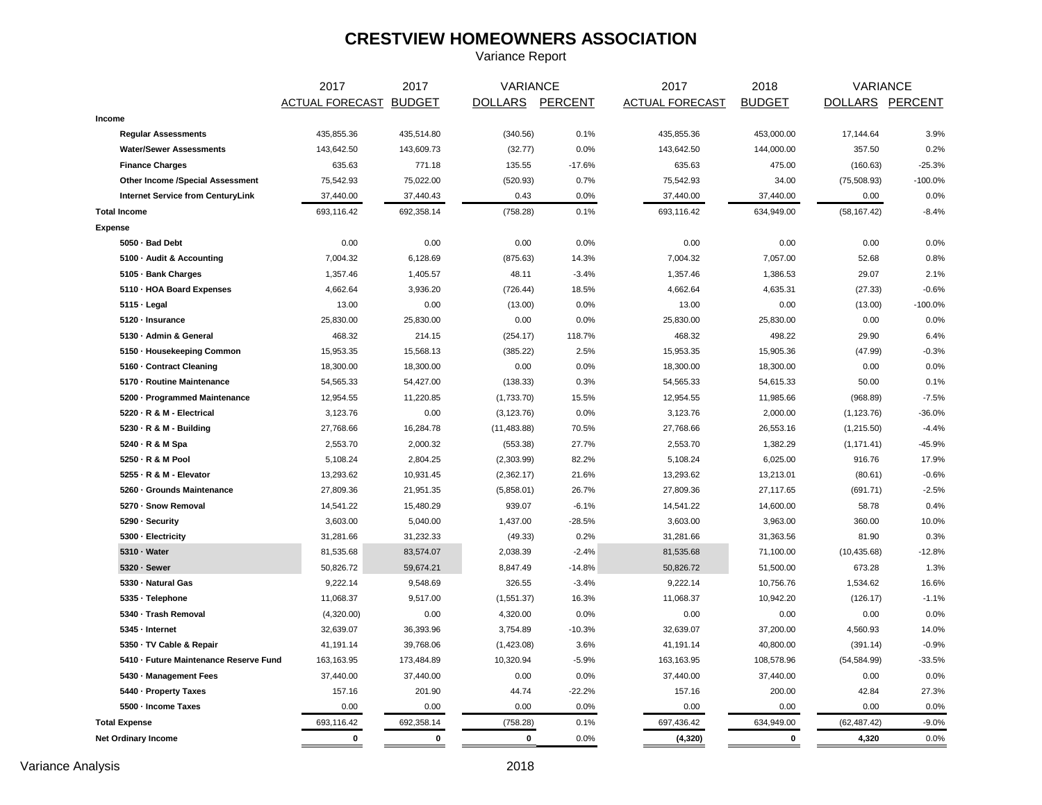# **CRESTVIEW HOMEOWNERS ASSOCIATION**

Variance Report

|                                          | 2017                   | 2017        | VARIANCE        |          | 2017                   | 2018          | VARIANCE        |           |  |
|------------------------------------------|------------------------|-------------|-----------------|----------|------------------------|---------------|-----------------|-----------|--|
|                                          | ACTUAL FORECAST BUDGET |             | DOLLARS PERCENT |          | <b>ACTUAL FORECAST</b> | <b>BUDGET</b> | DOLLARS PERCENT |           |  |
| Income                                   |                        |             |                 |          |                        |               |                 |           |  |
| <b>Regular Assessments</b>               | 435,855.36             | 435,514.80  | (340.56)        | 0.1%     | 435,855.36             | 453,000.00    | 17,144.64       | 3.9%      |  |
| <b>Water/Sewer Assessments</b>           | 143,642.50             | 143,609.73  | (32.77)         | 0.0%     | 143,642.50             | 144,000.00    | 357.50          | 0.2%      |  |
| <b>Finance Charges</b>                   | 635.63                 | 771.18      | 135.55          | $-17.6%$ | 635.63                 | 475.00        | (160.63)        | $-25.3%$  |  |
| Other Income /Special Assessment         | 75,542.93              | 75,022.00   | (520.93)        | 0.7%     | 75,542.93              | 34.00         | (75,508.93)     | $-100.0%$ |  |
| <b>Internet Service from CenturyLink</b> | 37,440.00              | 37,440.43   | 0.43            | 0.0%     | 37,440.00              | 37,440.00     | 0.00            | 0.0%      |  |
| <b>Total Income</b>                      | 693,116.42             | 692,358.14  | (758.28)        | 0.1%     | 693,116.42             | 634,949.00    | (58, 167.42)    | $-8.4%$   |  |
| Expense                                  |                        |             |                 |          |                        |               |                 |           |  |
| 5050 · Bad Debt                          | 0.00                   | 0.00        | 0.00            | 0.0%     | 0.00                   | 0.00          | 0.00            | 0.0%      |  |
| 5100 · Audit & Accounting                | 7,004.32               | 6,128.69    | (875.63)        | 14.3%    | 7,004.32               | 7,057.00      | 52.68           | 0.8%      |  |
| 5105 · Bank Charges                      | 1,357.46               | 1,405.57    | 48.11           | $-3.4%$  | 1,357.46               | 1,386.53      | 29.07           | 2.1%      |  |
| 5110 - HOA Board Expenses                | 4,662.64               | 3,936.20    | (726.44)        | 18.5%    | 4,662.64               | 4,635.31      | (27.33)         | $-0.6%$   |  |
| $5115 \cdot$ Legal                       | 13.00                  | 0.00        | (13.00)         | 0.0%     | 13.00                  | 0.00          | (13.00)         | $-100.0%$ |  |
| 5120 - Insurance                         | 25,830.00              | 25,830.00   | 0.00            | 0.0%     | 25,830.00              | 25,830.00     | 0.00            | 0.0%      |  |
| 5130 - Admin & General                   | 468.32                 | 214.15      | (254.17)        | 118.7%   | 468.32                 | 498.22        | 29.90           | 6.4%      |  |
| 5150 - Housekeeping Common               | 15,953.35              | 15,568.13   | (385.22)        | 2.5%     | 15,953.35              | 15,905.36     | (47.99)         | $-0.3%$   |  |
| 5160 - Contract Cleaning                 | 18,300.00              | 18,300.00   | 0.00            | 0.0%     | 18,300.00              | 18,300.00     | 0.00            | 0.0%      |  |
| 5170 - Routine Maintenance               | 54,565.33              | 54,427.00   | (138.33)        | 0.3%     | 54,565.33              | 54,615.33     | 50.00           | 0.1%      |  |
| 5200 · Programmed Maintenance            | 12,954.55              | 11,220.85   | (1,733.70)      | 15.5%    | 12,954.55              | 11,985.66     | (968.89)        | $-7.5%$   |  |
| 5220 · R & M - Electrical                | 3,123.76               | 0.00        | (3, 123.76)     | 0.0%     | 3,123.76               | 2,000.00      | (1, 123.76)     | $-36.0%$  |  |
| 5230 - R & M - Building                  | 27,768.66              | 16,284.78   | (11, 483.88)    | 70.5%    | 27,768.66              | 26,553.16     | (1,215.50)      | $-4.4%$   |  |
| 5240 · R & M Spa                         | 2,553.70               | 2,000.32    | (553.38)        | 27.7%    | 2,553.70               | 1,382.29      | (1, 171.41)     | $-45.9%$  |  |
| 5250 - R & M Pool                        | 5,108.24               | 2,804.25    | (2,303.99)      | 82.2%    | 5,108.24               | 6,025.00      | 916.76          | 17.9%     |  |
| 5255 - R & M - Elevator                  | 13,293.62              | 10,931.45   | (2,362.17)      | 21.6%    | 13,293.62              | 13,213.01     | (80.61)         | $-0.6%$   |  |
| 5260 · Grounds Maintenance               | 27,809.36              | 21,951.35   | (5,858.01)      | 26.7%    | 27,809.36              | 27,117.65     | (691.71)        | $-2.5%$   |  |
| 5270 - Snow Removal                      | 14,541.22              | 15,480.29   | 939.07          | $-6.1%$  | 14,541.22              | 14,600.00     | 58.78           | 0.4%      |  |
| 5290 · Security                          | 3,603.00               | 5,040.00    | 1,437.00        | $-28.5%$ | 3,603.00               | 3,963.00      | 360.00          | 10.0%     |  |
| 5300 - Electricity                       | 31,281.66              | 31,232.33   | (49.33)         | 0.2%     | 31,281.66              | 31,363.56     | 81.90           | 0.3%      |  |
| 5310 · Water                             | 81,535.68              | 83,574.07   | 2,038.39        | $-2.4%$  | 81,535.68              | 71,100.00     | (10, 435.68)    | $-12.8%$  |  |
| 5320 · Sewer                             | 50,826.72              | 59,674.21   | 8,847.49        | $-14.8%$ | 50,826.72              | 51,500.00     | 673.28          | 1.3%      |  |
| 5330 - Natural Gas                       | 9,222.14               | 9,548.69    | 326.55          | $-3.4%$  | 9,222.14               | 10,756.76     | 1,534.62        | 16.6%     |  |
| 5335 · Telephone                         | 11,068.37              | 9,517.00    | (1,551.37)      | 16.3%    | 11,068.37              | 10,942.20     | (126.17)        | $-1.1%$   |  |
| 5340 - Trash Removal                     | (4,320.00)             | 0.00        | 4,320.00        | 0.0%     | 0.00                   | 0.00          | 0.00            | 0.0%      |  |
| 5345 - Internet                          | 32,639.07              | 36,393.96   | 3,754.89        | $-10.3%$ | 32,639.07              | 37,200.00     | 4,560.93        | 14.0%     |  |
| 5350 · TV Cable & Repair                 | 41,191.14              | 39,768.06   | (1,423.08)      | 3.6%     | 41,191.14              | 40,800.00     | (391.14)        | $-0.9%$   |  |
| 5410 - Future Maintenance Reserve Fund   | 163,163.95             | 173,484.89  | 10,320.94       | $-5.9%$  | 163, 163. 95           | 108,578.96    | (54, 584.99)    | $-33.5%$  |  |
| 5430 - Management Fees                   | 37,440.00              | 37,440.00   | 0.00            | 0.0%     | 37,440.00              | 37,440.00     | 0.00            | 0.0%      |  |
| 5440 - Property Taxes                    | 157.16                 | 201.90      | 44.74           | $-22.2%$ | 157.16                 | 200.00        | 42.84           | 27.3%     |  |
| 5500 - Income Taxes                      | 0.00                   | 0.00        | 0.00            | 0.0%     | 0.00                   | 0.00          | 0.00            | 0.0%      |  |
| <b>Total Expense</b>                     | 693,116.42             | 692,358.14  | (758.28)        | 0.1%     | 697,436.42             | 634,949.00    | (62, 487.42)    | $-9.0%$   |  |
| <b>Net Ordinary Income</b>               | $\mathbf 0$            | $\mathbf 0$ | $\mathbf 0$     | 0.0%     | (4, 320)               | $\mathbf 0$   | 4,320           | 0.0%      |  |